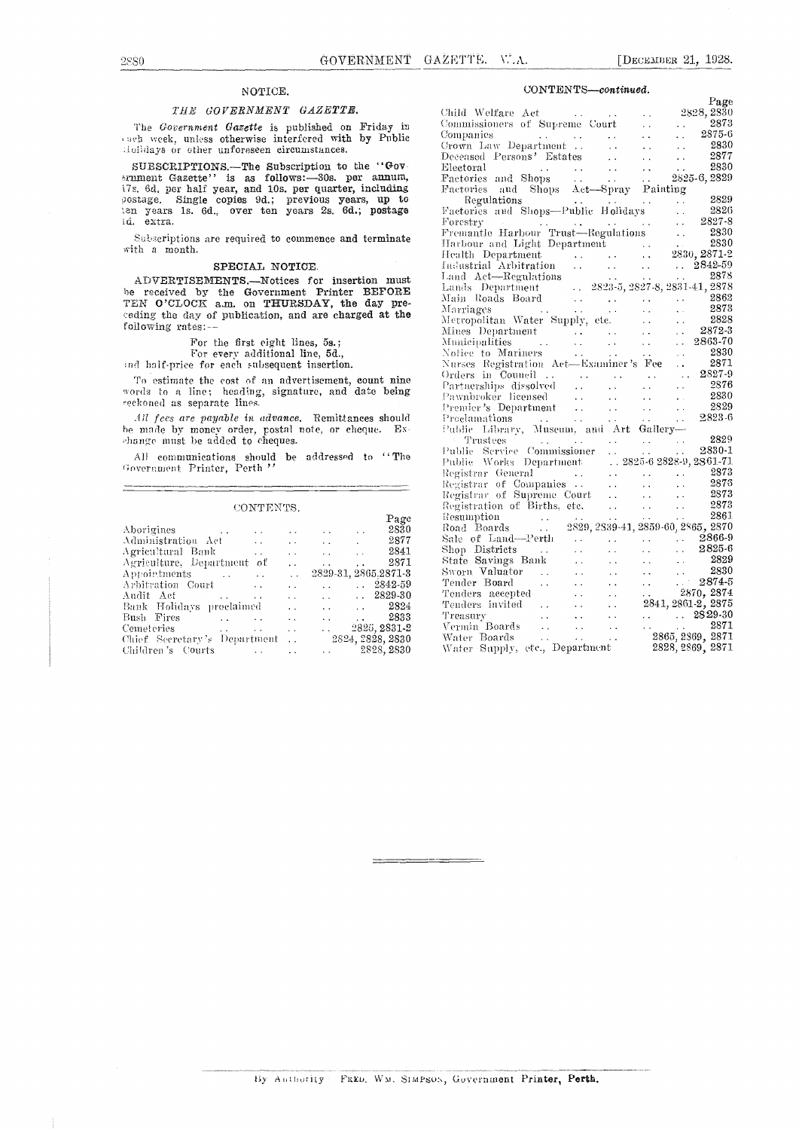## NOTICE.

### THE GOVERNMENT GAZETTE.

The Government Gazette is published on Friday in cach week, unless otherwise interfered with by Public dolidays or other unforeseen circumstances.

SUBSCRIPTIONS.-The Subscription to the "Govfzrument Gazette" is as follows:-30s. per annum, 17s, 6d, per half year, and 10s. per quarter, including  $s$ ostage. Single copies 9d.; previous years, up to  $R_0$ ten years 1s. 6d., over ten years 2s. 6d.; postage Fact d. extra.

Subscriptions are required to commence and terminate with a month.

#### SPECIAL NOTICE.

ADVERTISEMENTS.-Notices for insertion must be received by the Government Printer BEFORE  $\frac{\text{Lands}}{\text{Moin-Rois}}$ TEN O'CLOCK a.m. on THURSDAY, the day pre-  $\frac{\text{Mall}}{\text{Marn}}$ <br>ceding the day of publication, and are charged at the  $\frac{\text{Mall}}{\text{Mern}}$ ceding the day of publication, and are charged at the following rates:--

For the first eight lines, 5s.;<br>For every additional line, 5d.,<br>rid half-price for each subsequent insertion.

To estimate the cost of an advertisement, count nine words to a line; heading, signature, and date being reckoned as separate lines.

All fees are payable in advance. Remittances should he made by money order, postal note, or cheque. Exchange must be added to cheques.

All communications Should be addressed to " The Government Printer, Perth'

#### **CONTENTS**

|                                                     |                      |                                                         |                                   |                      | .            |
|-----------------------------------------------------|----------------------|---------------------------------------------------------|-----------------------------------|----------------------|--------------|
|                                                     |                      |                                                         |                                   | Page                 | Res          |
| Aborigines                                          | $\sim$ $\sim$        | <b>Contractor</b>                                       | <b>Contract Contract Contract</b> | 2830                 | Roa          |
| $\Lambda$ dministration $\Lambda$ et<br>$\sim 100$  | $\ddot{\phantom{a}}$ |                                                         | and the company of the company    | 2877                 | Sak          |
| Agricultural Bank<br>$\sim 10^{-1}$                 | $\ddot{\phantom{a}}$ | $\mathbf{r}$ and $\mathbf{r}$ are a set of $\mathbf{r}$ |                                   | 2841                 | $_{\rm Sho}$ |
| Agriculture, Department of                          | $\ddot{\phantom{0}}$ | $\sim$                                                  | $\sim$ $\sim$                     | 2871                 | Sta          |
| Appointments<br>$\sim 10$                           | $\sim 10^{-1}$       |                                                         |                                   | 2829-31, 2865.2871-3 | Sw           |
| Arbitration Court<br>$\ddot{\phantom{a}}$           | . .                  |                                                         |                                   | $\therefore$ 2842-59 | Ten          |
| $\sim 100$                                          | $\sim$ $\sim$        |                                                         |                                   | $\ldots$ $.2829-30$  | Ten          |
| Bank Holidays proclaimed                            | $\sim$ $\sim$        |                                                         | and the state of the state of     | 2824                 | Ten          |
| Bush Fires<br>and the contract of the contract of   | $\ddot{\phantom{a}}$ | $\mathbf{r}$                                            | <b>Service</b>                    | - 2833               | Tre:         |
| Cemeteries                                          | Alberta College      | $\mathbf{r}$ , $\mathbf{r}$ , $\mathbf{r}$              |                                   | 2825, 2831-2         | Ver          |
| Chief Secretary's Department  2824, 2828, 2830      |                      |                                                         |                                   |                      | Wat          |
| Children's Courts<br><b>Contract Contract State</b> |                      | and the control                                         |                                   | 2828, 2830           | Wat          |
|                                                     |                      |                                                         |                                   |                      |              |

### CONTENTS-continued.

| Child Welfare Act (2003)<br>Commanies of Supreme Court (2825, 2830)<br>Commanies of Supreme Court (2825, 2830)<br>Commanies of Supreme Court (28375-6)<br>Deceased Persons? Estates (28275-6)<br>Deceased Persons? Estates (28271-29775 |  |  |
|-----------------------------------------------------------------------------------------------------------------------------------------------------------------------------------------------------------------------------------------|--|--|
|                                                                                                                                                                                                                                         |  |  |
|                                                                                                                                                                                                                                         |  |  |
|                                                                                                                                                                                                                                         |  |  |

By Authority FRED. WM. SIMPSON, Government Printer, Perth.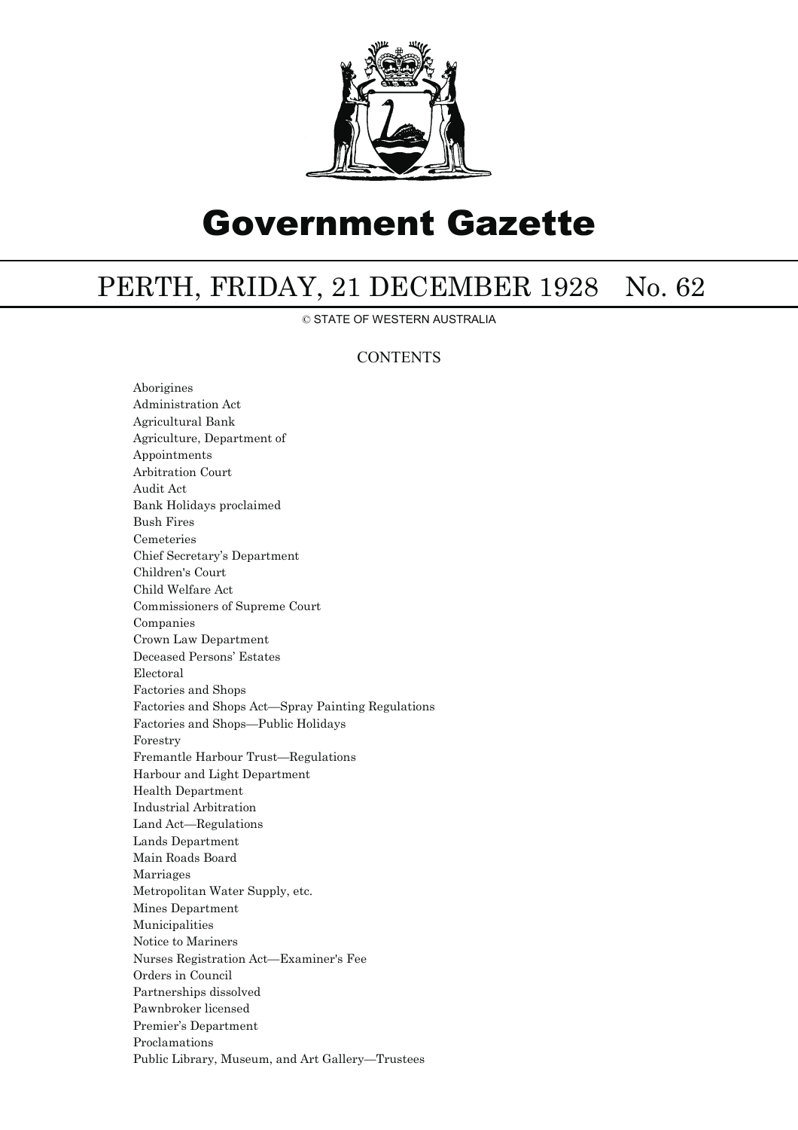

# Government Gazette

## PERTH, FRIDAY, 21 DECEMBER 1928 No. 62

© STATE OF WESTERN AUSTRALIA

## **CONTENTS**

Aborigines Administration Act Agricultural Bank Agriculture, Department of Appointments Arbitration Court Audit Act Bank Holidays proclaimed Bush Fires Cemeteries Chief Secretary's Department Children's Court Child Welfare Act Commissioners of Supreme Court Companies Crown Law Department Deceased Persons' Estates Electoral Factories and Shops Factories and Shops Act—Spray Painting Regulations Factories and Shops—Public Holidays Forestry Fremantle Harbour Trust—Regulations Harbour and Light Department Health Department Industrial Arbitration Land Act—Regulations Lands Department Main Roads Board Marriages Metropolitan Water Supply, etc. Mines Department Municipalities Notice to Mariners Nurses Registration Act—Examiner's Fee Orders in Council Partnerships dissolved Pawnbroker licensed Premier's Department Proclamations Public Library, Museum, and Art Gallery—Trustees